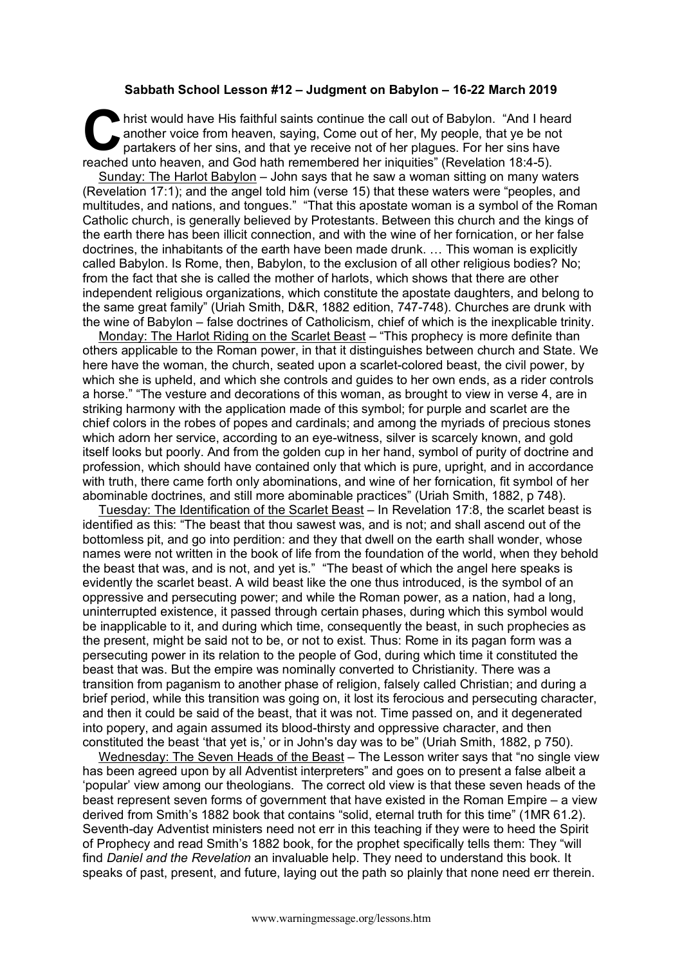## **Sabbath School Lesson #12 – Judgment on Babylon – 16-22 March 2019**

hrist would have His faithful saints continue the call out of Babylon. "And I heard another voice from heaven, saying, Come out of her, My people, that ye be not partakers of her sins, and that ye receive not of her plague another voice from heaven, saying, Come out of her, My people, that ye be not partakers of her sins, and that ye receive not of her plagues. For her sins have reached unto heaven, and God hath remembered her iniquities" (Revelation 18:4-5).

Sunday: The Harlot Babylon – John says that he saw a woman sitting on many waters (Revelation 17:1); and the angel told him (verse 15) that these waters were "peoples, and multitudes, and nations, and tongues." "That this apostate woman is a symbol of the Roman Catholic church, is generally believed by Protestants. Between this church and the kings of the earth there has been illicit connection, and with the wine of her fornication, or her false doctrines, the inhabitants of the earth have been made drunk. … This woman is explicitly called Babylon. Is Rome, then, Babylon, to the exclusion of all other religious bodies? No; from the fact that she is called the mother of harlots, which shows that there are other independent religious organizations, which constitute the apostate daughters, and belong to the same great family" (Uriah Smith, D&R, 1882 edition, 747-748). Churches are drunk with the wine of Babylon – false doctrines of Catholicism, chief of which is the inexplicable trinity.

Monday: The Harlot Riding on the Scarlet Beast – "This prophecy is more definite than others applicable to the Roman power, in that it distinguishes between church and State. We here have the woman, the church, seated upon a scarlet-colored beast, the civil power, by which she is upheld, and which she controls and guides to her own ends, as a rider controls a horse." "The vesture and decorations of this woman, as brought to view in verse 4, are in striking harmony with the application made of this symbol; for purple and scarlet are the chief colors in the robes of popes and cardinals; and among the myriads of precious stones which adorn her service, according to an eye-witness, silver is scarcely known, and gold itself looks but poorly. And from the golden cup in her hand, symbol of purity of doctrine and profession, which should have contained only that which is pure, upright, and in accordance with truth, there came forth only abominations, and wine of her fornication, fit symbol of her abominable doctrines, and still more abominable practices" (Uriah Smith, 1882, p 748).

Tuesday: The Identification of the Scarlet Beast – In Revelation 17:8, the scarlet beast is identified as this: "The beast that thou sawest was, and is not; and shall ascend out of the bottomless pit, and go into perdition: and they that dwell on the earth shall wonder, whose names were not written in the book of life from the foundation of the world, when they behold the beast that was, and is not, and yet is." "The beast of which the angel here speaks is evidently the scarlet beast. A wild beast like the one thus introduced, is the symbol of an oppressive and persecuting power; and while the Roman power, as a nation, had a long, uninterrupted existence, it passed through certain phases, during which this symbol would be inapplicable to it, and during which time, consequently the beast, in such prophecies as the present, might be said not to be, or not to exist. Thus: Rome in its pagan form was a persecuting power in its relation to the people of God, during which time it constituted the beast that was. But the empire was nominally converted to Christianity. There was a transition from paganism to another phase of religion, falsely called Christian; and during a brief period, while this transition was going on, it lost its ferocious and persecuting character, and then it could be said of the beast, that it was not. Time passed on, and it degenerated into popery, and again assumed its blood-thirsty and oppressive character, and then constituted the beast 'that yet is,' or in John's day was to be" (Uriah Smith, 1882, p 750).

Wednesday: The Seven Heads of the Beast – The Lesson writer says that "no single view has been agreed upon by all Adventist interpreters" and goes on to present a false albeit a 'popular' view among our theologians. The correct old view is that these seven heads of the beast represent seven forms of government that have existed in the Roman Empire – a view derived from Smith's 1882 book that contains "solid, eternal truth for this time" (1MR 61.2). Seventh-day Adventist ministers need not err in this teaching if they were to heed the Spirit of Prophecy and read Smith's 1882 book, for the prophet specifically tells them: They "will find *Daniel and the Revelation* an invaluable help. They need to understand this book. It speaks of past, present, and future, laying out the path so plainly that none need err therein.